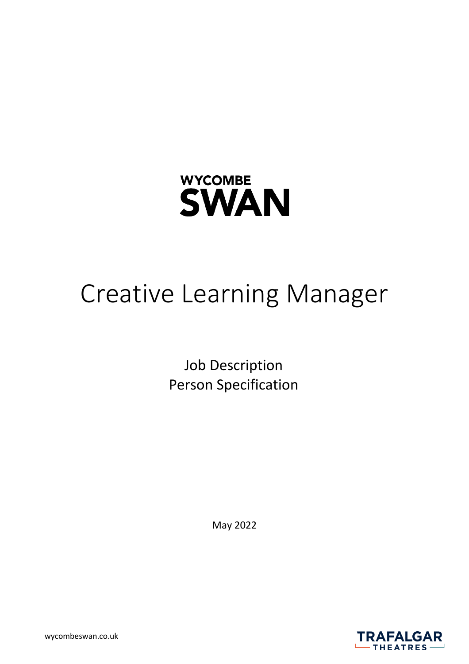

# Creative Learning Manager

Job Description Person Specification

May 2022



wycombeswan.co.uk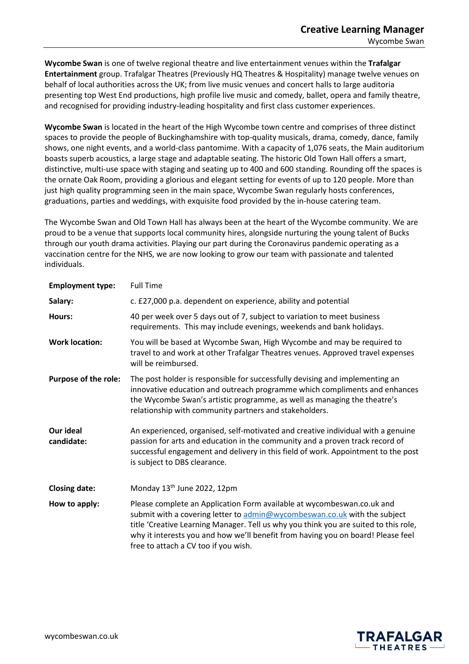**Wycombe Swan** is one of twelve regional theatre and live entertainment venues within the **Trafalgar Entertainment** group. Trafalgar Theatres (Previously HQ Theatres & Hospitality) manage twelve venues on behalf of local authorities across the UK; from live music venues and concert halls to large auditoria presenting top West End productions, high profile live music and comedy, ballet, opera and family theatre, and recognised for providing industry-leading hospitality and first class customer experiences.

**Wycombe Swan** is located in the heart of the High Wycombe town centre and comprises of three distinct spaces to provide the people of Buckinghamshire with top-quality musicals, drama, comedy, dance, family shows, one night events, and a world-class pantomime. With a capacity of 1,076 seats, the Main auditorium boasts superb acoustics, a large stage and adaptable seating. The historic Old Town Hall offers a smart, distinctive, multi-use space with staging and seating up to 400 and 600 standing. Rounding off the spaces is the ornate Oak Room, providing a glorious and elegant setting for events of up to 120 people. More than just high quality programming seen in the main space, Wycombe Swan regularly hosts conferences, graduations, parties and weddings, with exquisite food provided by the in-house catering team.

The Wycombe Swan and Old Town Hall has always been at the heart of the Wycombe community. We are proud to be a venue that supports local community hires, alongside nurturing the young talent of Bucks through our youth drama activities. Playing our part during the Coronavirus pandemic operating as a vaccination centre for the NHS, we are now looking to grow our team with passionate and talented individuals.

| <b>Employment type:</b> | <b>Full Time</b>                                                                                                                                                                                                                                                                                                                                                        |
|-------------------------|-------------------------------------------------------------------------------------------------------------------------------------------------------------------------------------------------------------------------------------------------------------------------------------------------------------------------------------------------------------------------|
| Salary:                 | c. £27,000 p.a. dependent on experience, ability and potential                                                                                                                                                                                                                                                                                                          |
| Hours:                  | 40 per week over 5 days out of 7, subject to variation to meet business<br>requirements. This may include evenings, weekends and bank holidays.                                                                                                                                                                                                                         |
| <b>Work location:</b>   | You will be based at Wycombe Swan, High Wycombe and may be required to<br>travel to and work at other Trafalgar Theatres venues. Approved travel expenses<br>will be reimbursed.                                                                                                                                                                                        |
| Purpose of the role:    | The post holder is responsible for successfully devising and implementing an<br>innovative education and outreach programme which compliments and enhances<br>the Wycombe Swan's artistic programme, as well as managing the theatre's<br>relationship with community partners and stakeholders.                                                                        |
| Our ideal<br>candidate: | An experienced, organised, self-motivated and creative individual with a genuine<br>passion for arts and education in the community and a proven track record of<br>successful engagement and delivery in this field of work. Appointment to the post<br>is subject to DBS clearance.                                                                                   |
| <b>Closing date:</b>    | Monday 13 <sup>th</sup> June 2022, 12pm                                                                                                                                                                                                                                                                                                                                 |
| How to apply:           | Please complete an Application Form available at wycombeswan.co.uk and<br>submit with a covering letter to admin@wycombeswan.co.uk with the subject<br>title 'Creative Learning Manager. Tell us why you think you are suited to this role,<br>why it interests you and how we'll benefit from having you on board! Please feel<br>free to attach a CV too if you wish. |

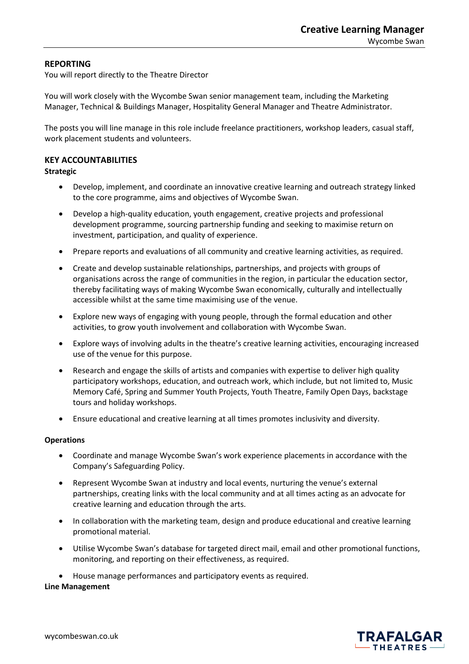# **REPORTING**

You will report directly to the Theatre Director

You will work closely with the Wycombe Swan senior management team, including the Marketing Manager, Technical & Buildings Manager, Hospitality General Manager and Theatre Administrator.

The posts you will line manage in this role include freelance practitioners, workshop leaders, casual staff, work placement students and volunteers.

# **KEY ACCOUNTABILITIES**

# **Strategic**

- Develop, implement, and coordinate an innovative creative learning and outreach strategy linked to the core programme, aims and objectives of Wycombe Swan.
- Develop a high-quality education, youth engagement, creative projects and professional development programme, sourcing partnership funding and seeking to maximise return on investment, participation, and quality of experience.
- Prepare reports and evaluations of all community and creative learning activities, as required.
- Create and develop sustainable relationships, partnerships, and projects with groups of organisations across the range of communities in the region, in particular the education sector, thereby facilitating ways of making Wycombe Swan economically, culturally and intellectually accessible whilst at the same time maximising use of the venue.
- Explore new ways of engaging with young people, through the formal education and other activities, to grow youth involvement and collaboration with Wycombe Swan.
- Explore ways of involving adults in the theatre's creative learning activities, encouraging increased use of the venue for this purpose.
- Research and engage the skills of artists and companies with expertise to deliver high quality participatory workshops, education, and outreach work, which include, but not limited to, Music Memory Café, Spring and Summer Youth Projects, Youth Theatre, Family Open Days, backstage tours and holiday workshops.
- Ensure educational and creative learning at all times promotes inclusivity and diversity.

# **Operations**

- Coordinate and manage Wycombe Swan's work experience placements in accordance with the Company's Safeguarding Policy.
- Represent Wycombe Swan at industry and local events, nurturing the venue's external partnerships, creating links with the local community and at all times acting as an advocate for creative learning and education through the arts.
- In collaboration with the marketing team, design and produce educational and creative learning promotional material.
- Utilise Wycombe Swan's database for targeted direct mail, email and other promotional functions, monitoring, and reporting on their effectiveness, as required.
- House manage performances and participatory events as required.

#### **Line Management**

THEATRES  $-$ 

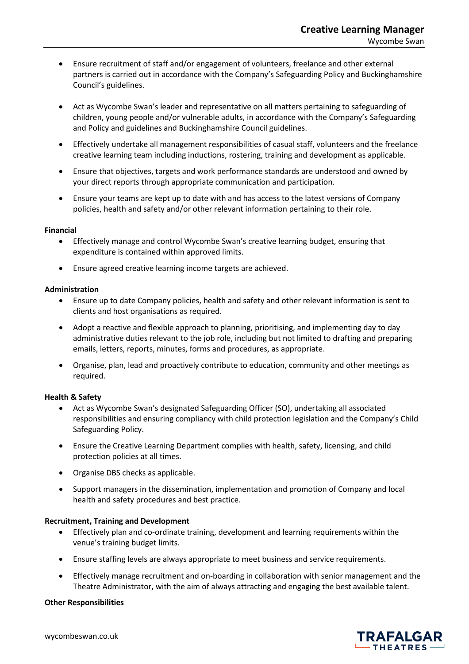- Ensure recruitment of staff and/or engagement of volunteers, freelance and other external partners is carried out in accordance with the Company's Safeguarding Policy and Buckinghamshire Council's guidelines.
- Act as Wycombe Swan's leader and representative on all matters pertaining to safeguarding of children, young people and/or vulnerable adults, in accordance with the Company's Safeguarding and Policy and guidelines and Buckinghamshire Council guidelines.
- Effectively undertake all management responsibilities of casual staff, volunteers and the freelance creative learning team including inductions, rostering, training and development as applicable.
- Ensure that objectives, targets and work performance standards are understood and owned by your direct reports through appropriate communication and participation.
- Ensure your teams are kept up to date with and has access to the latest versions of Company policies, health and safety and/or other relevant information pertaining to their role.

#### **Financial**

- Effectively manage and control Wycombe Swan's creative learning budget, ensuring that expenditure is contained within approved limits.
- Ensure agreed creative learning income targets are achieved.

#### **Administration**

- Ensure up to date Company policies, health and safety and other relevant information is sent to clients and host organisations as required.
- Adopt a reactive and flexible approach to planning, prioritising, and implementing day to day administrative duties relevant to the job role, including but not limited to drafting and preparing emails, letters, reports, minutes, forms and procedures, as appropriate.
- Organise, plan, lead and proactively contribute to education, community and other meetings as required.

# **Health & Safety**

- Act as Wycombe Swan's designated Safeguarding Officer (SO), undertaking all associated responsibilities and ensuring compliancy with child protection legislation and the Company's Child Safeguarding Policy.
- Ensure the Creative Learning Department complies with health, safety, licensing, and child protection policies at all times.
- Organise DBS checks as applicable.
- Support managers in the dissemination, implementation and promotion of Company and local health and safety procedures and best practice.

# **Recruitment, Training and Development**

- Effectively plan and co-ordinate training, development and learning requirements within the venue's training budget limits.
- Ensure staffing levels are always appropriate to meet business and service requirements.
- Effectively manage recruitment and on-boarding in collaboration with senior management and the Theatre Administrator, with the aim of always attracting and engaging the best available talent.

#### **Other Responsibilities**

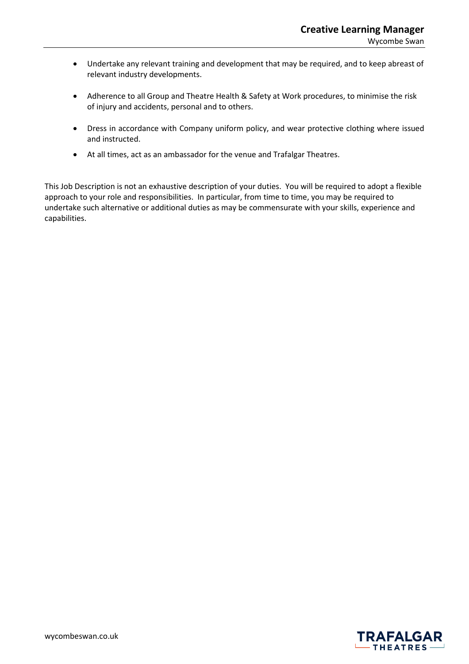- Undertake any relevant training and development that may be required, and to keep abreast of relevant industry developments.
- Adherence to all Group and Theatre Health & Safety at Work procedures, to minimise the risk of injury and accidents, personal and to others.
- Dress in accordance with Company uniform policy, and wear protective clothing where issued and instructed.
- At all times, act as an ambassador for the venue and Trafalgar Theatres.

This Job Description is not an exhaustive description of your duties. You will be required to adopt a flexible approach to your role and responsibilities. In particular, from time to time, you may be required to undertake such alternative or additional duties as may be commensurate with your skills, experience and capabilities.